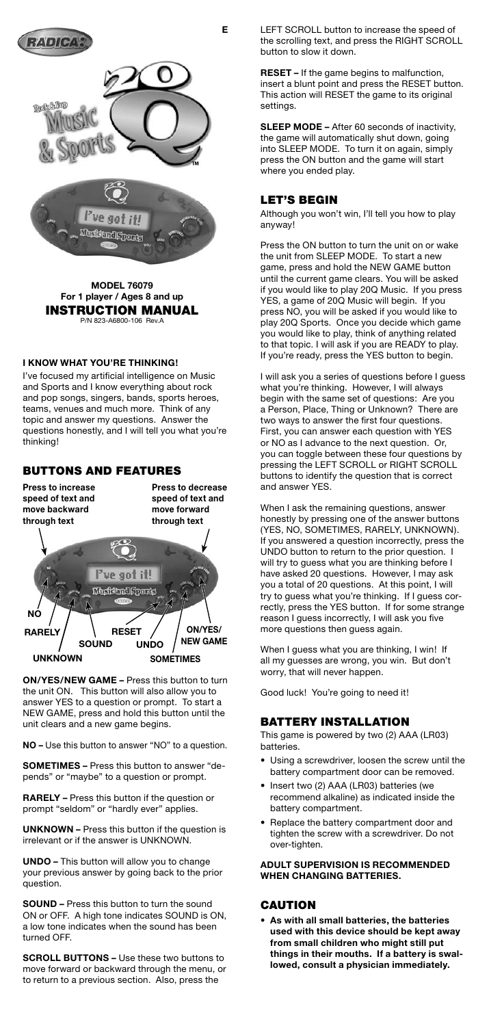

**MODEL 76079 For 1 player / Ages 8 and up** INSTRUCTION MANUAL P/N 823-A6800-106 Rev.4

## **I KNOW WHAT YOU'RE THINKING!**

I've focused my artificial intelligence on Music and Sports and I know everything about rock and pop songs, singers, bands, sports heroes, teams, venues and much more. Think of any topic and answer my questions. Answer the questions honestly, and I will tell you what you're thinking!

## BUTTONS AND FEATURES

**Press to increase speed of text and move backward through text**

**Press to decrease speed of text and move forward through text**



**ON/YES/NEW GAME –** Press this button to turn the unit ON. This button will also allow you to answer YES to a question or prompt. To start a NEW GAME, press and hold this button until the unit clears and a new game begins.

**NO –** Use this button to answer "NO" to a question.

**SOMETIMES –** Press this button to answer "depends" or "maybe" to a question or prompt.

**RARELY –** Press this button if the question or prompt "seldom" or "hardly ever" applies.

**UNKNOWN –** Press this button if the question is irrelevant or if the answer is UNKNOWN.

**UNDO –** This button will allow you to change your previous answer by going back to the prior question.

**SOUND –** Press this button to turn the sound ON or OFF. A high tone indicates SOUND is ON, a low tone indicates when the sound has been turned OFF.

**SCROLL BUTTONS –** Use these two buttons to move forward or backward through the menu, or to return to a previous section. Also, press the

**E** LEFT SCROLL button to increase the speed of the scrolling text, and press the RIGHT SCROLL button to slow it down.

> **RESET –** If the game begins to malfunction, insert a blunt point and press the RESET button. This action will RESET the game to its original settings.

**SLEEP MODE –** After 60 seconds of inactivity, the game will automatically shut down, going into SLEEP MODE. To turn it on again, simply press the ON button and the game will start where you ended play.

## LET'S BEGIN

Although you won't win, I'll tell you how to play anyway!

Press the ON button to turn the unit on or wake the unit from SLEEP MODE. To start a new game, press and hold the NEW GAME button until the current game clears. You will be asked if you would like to play 20Q Music. If you press YES, a game of 20Q Music will begin. If you press NO, you will be asked if you would like to play 20Q Sports. Once you decide which game you would like to play, think of anything related to that topic. I will ask if you are READY to play. If you're ready, press the YES button to begin.

I will ask you a series of questions before I guess what you're thinking. However, I will always begin with the same set of questions: Are you a Person, Place, Thing or Unknown? There are two ways to answer the first four questions. First, you can answer each question with YES or NO as I advance to the next question. Or, you can toggle between these four questions by pressing the LEFT SCROLL or RIGHT SCROLL buttons to identify the question that is correct and answer YES.

When I ask the remaining questions, answer honestly by pressing one of the answer buttons (YES, NO, SOMETIMES, RARELY, UNKNOWN). If you answered a question incorrectly, press the UNDO button to return to the prior question. I will try to guess what you are thinking before I have asked 20 questions. However, I may ask you a total of 20 questions. At this point, I will try to guess what you're thinking. If I guess correctly, press the YES button. If for some strange reason I guess incorrectly, I will ask you five more questions then guess again.

When I guess what you are thinking, I win! If all my guesses are wrong, you win. But don't worry, that will never happen.

Good luck! You're going to need it!

## BATTERY INSTALLATION

This game is powered by two (2) AAA (LR03) batteries.

- Using a screwdriver, loosen the screw until the battery compartment door can be removed.
- Insert two (2) AAA (LR03) batteries (we recommend alkaline) as indicated inside the battery compartment.
- Replace the battery compartment door and tighten the screw with a screwdriver. Do not over-tighten.

**ADULT SUPERVISION IS RECOMMENDED WHEN CHANGING BATTERIES.**

#### CAUTION

**• As with all small batteries, the batteries used with this device should be kept away from small children who might still put things in their mouths. If a battery is swallowed, consult a physician immediately.**